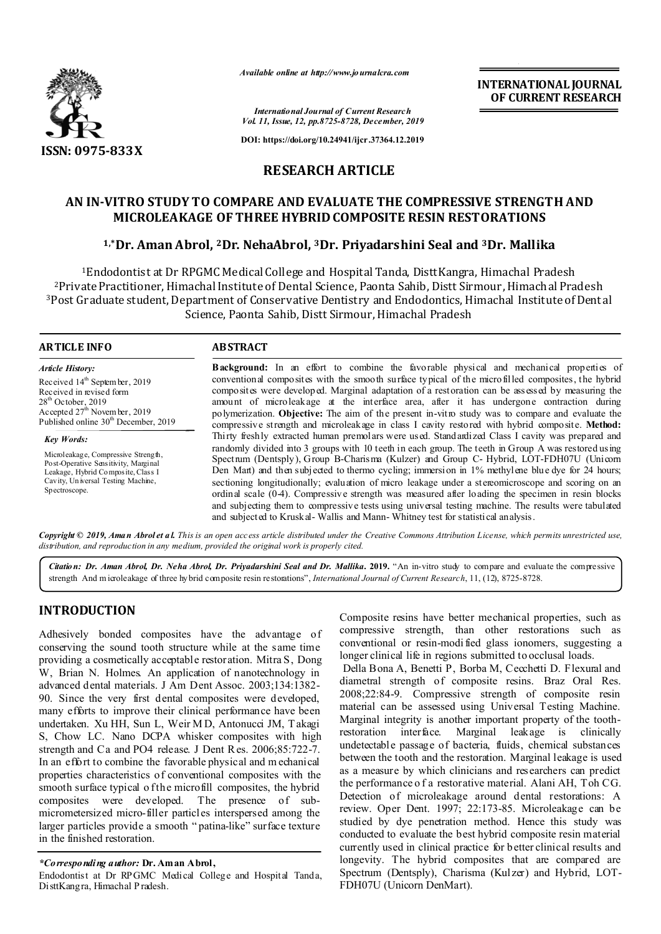

*Available online at http://www.journalcra.com*

**INTERNATIONAL JOURNAL OF CURRENT RESEARCH**

*International Journal of Current Research Vol. 11, Issue, 12, pp.8725-8728, December, 2019*

**DOI: https://doi.org/10.24941/ijcr.37364.12.2019**

# **RESEARCH ARTICLE**

# **AN IN-VITRO STUDY TO COMPARE AND EVALUATE THE COMPRESSIVE STRENGTH AND MICROLEAKAGE OF THREE HYBRID COMPOSITE RESIN RESTORATIONS**

# **1,\*Dr. Aman Abrol, 2Dr. NehaAbrol, 3Dr. Priyadarshini Seal and 3Dr. Mallika**

1Endodontist at Dr RPGMC Medical College and Hospital Tanda, DisttKangra, Himachal Pradesh 2Private Practitioner, Himachal Institute of Dental Science, Paonta Sahib, Distt Sirmour, Himachal Pradesh 3Post Graduate student, Department of Conservative Dentistry and Endodontics, Himachal Institute of Dental Science, Paonta Sahib, Distt Sirmour, Himachal Pradesh

## **ARTICLE INFO ABSTRACT**

*Article History:* Received 14<sup>th</sup> Septem ber, 2019 Received in revised form  $28<sup>th</sup>$  October, 2019  $\frac{20}{\text{A}}$  cepted  $27^{\text{th}}$  Novem ber, 2019 Published online 30<sup>th</sup> December, 2019

*Key Words:* Microleakage, Compressive Strength, Post-Operative Sensitivity, Marginal Leakage, Hybrid Composite, Class I

Spectroscope.

Cavity, Un iversal Testing Machine,

conventional composites with the smooth surface typical of the microfilled composites, the hybrid composites were developed. Marginal adaptation of a restoration can be assessed by measuring the amount of microleakage at the interface area, after it has undergone contraction during polymerization. **Objective:** The aim of the present in-vitro study was to compare and evaluate the compressive strength and microleakage in class I cavity restored with hybrid composite. **Method:** Thirty freshly extracted human premolars were used. Standardized Class I cavity was prepared and randomly divided into 3 groups with 10 teeth in each group. The teeth in Group A was restored using Spectrum (Dentsply), Group B-Charisma (Kulzer) and Group C- Hybrid, LOT-FDH07U (Unicom Den Mart) and then subjected to thermo cycling; immersion in 1% methylene blue dye for 24 hours; sectioning longitudionally; evaluation of micro leakage under a stereomicroscope and scoring on an ordinal scale (0-4). Compressive strength was measured after loading the specimen in resin blocks and subjecting them to compressive tests using universal testing machine. The results were tabulated and subjected to Kruskal- Wallis and Mann- Whitney test for statistical analysis.

**Background:** In an effort to combine the favorable physical and mechanical properties of

Copyright © 2019, Aman Abrolet al. This is an open access article distributed under the Creative Commons Attribution License, which permits unrestricted use, *distribution, and reproduction in any medium, provided the original work is properly cited.*

*Citation: Dr. Aman Abrol, Dr. Neha Abrol, Dr. Priyadarshini Seal and Dr. Mallika***. 2019.** "An in-vitro study to compare and evaluate the compressive strength And m icroleakage of three hybrid composite resin restorations", *International Journal of Current Research*, 11, (12), 8725-8728.

# **INTRODUCTION**

Adhesively bonded composites have the advantage of conserving the sound tooth structure while at the same time providing a cosmetically acceptable restoration. Mitra S, Dong W, Brian N. Holmes. An application of nanotechnology in advanced dental materials. J Am Dent Assoc. 2003;134:1382- 90. Since the very first dental composites were developed, many efforts to improve their clinical performance have been undertaken. Xu HH, Sun L, Weir M D, Antonucci JM, T akagi S, Chow LC. Nano DCPA whisker composites with high strength and Ca and PO4 release. J Dent R es. 2006;85:722-7. In an effort to combine the favorable physical and m echanical properties characteristics of conventional composites with the smooth surface typical of the microfill composites, the hybrid composites were developed. The presence of submicrometersized micro-filler particles interspersed among the larger particles provide a smooth " patina-like" surface texture in the finished restoration.

#### *\*Corresponding author:* **Dr. Aman Abrol,**

Endodontist at Dr RPGMC Medical College and Hospital Tanda, DisttKangra, Himachal P radesh.

Composite resins have better mechanical properties, such as compressive strength, than other restorations such as conventional or resin-modi fied glass ionomers, suggesting a longer clinical life in regions submitted to occlusal loads.

Della Bona A, Benetti P, Borba M, Cecchetti D. Flexural and diametral strength of composite resins. Braz Oral Res. 2008;22:84-9. Compressive strength of composite resin material can be assessed using Universal Testing Machine. Marginal integrity is another important property of the toothrestoration interface. Marginal leakage is clinically undetectable passage of bacteria, fluids, chemical substances between the tooth and the restoration. Marginal leakage is used as a measure by which clinicians and researchers can predict the performance o f a restorative material. Alani AH, Toh CG. Detection of microleakage around dental restorations: A review. Oper Dent. 1997; 22:173-85. Microleakage can be studied by dye penetration method. Hence this study was conducted to evaluate the best hybrid composite resin material currently used in clinical practice for better clinical results and longevity. The hybrid composites that are compared are Spectrum (Dentsply), Charisma (Kulzer) and Hybrid, LOT-FDH07U (Unicorn DenMart).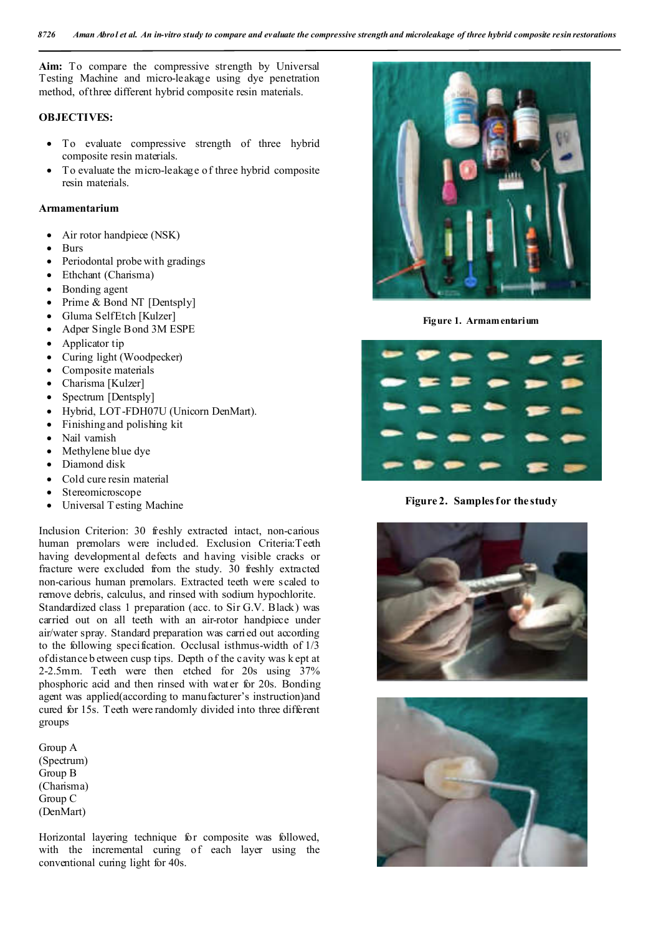**Aim:** To compare the compressive strength by Universal Testing Machine and micro-leakage using dye penetration method, of three different hybrid composite resin materials.

### **OBJECTIVES:**

- To evaluate compressive strength of three hybrid composite resin materials.
- To evaluate the micro-leakage of three hybrid composite resin materials.

#### **Armamentarium**

- Air rotor handpiece (NSK)
- Burs
- Periodontal probe with gradings
- Ethchant (Charisma)
- Bonding agent
- Prime & Bond NT [Dentsply]
- Gluma SelfEtch [Kulzer]
- Adper Single Bond 3M ESPE
- Applicator tip
- Curing light (Woodpecker)
- Composite materials
- Charisma [Kulzer]
- Spectrum [Dentsply]
- Hybrid, LOT-FDH07U (Unicorn DenMart).
- Finishing and polishing kit
- Nail varnish
- Methylene blue dye
- Diamond disk
- Cold cure resin material
- Stereomicroscope
- Universal T esting Machine

Inclusion Criterion: 30 freshly extracted intact, non-carious human premolars were included. Exclusion Criteria:Teeth having developmental defects and having visible cracks or fracture were excluded from the study. 30 freshly extracted non-carious human premolars. Extracted teeth were scaled to remove debris, calculus, and rinsed with sodium hypochlorite. Standardized class 1 preparation (acc. to Sir G.V. Black) was carried out on all teeth with an air-rotor handpiece under air/water spray. Standard preparation was carried out according to the following specification. Occlusal isthmus-width of 1/3 of distance b etween cusp tips. Depth of the cavity was k ept at 2-2.5mm. Teeth were then etched for 20s using 37% phosphoric acid and then rinsed with water for 20s. Bonding agent was applied(according to manufacturer's instruction)and cured for 15s. Teeth were randomly divided into three different groups

Group A (Spectrum) Group B (Charisma) Group C (DenMart)

Horizontal layering technique for composite was followed, with the incremental curing of each layer using the conventional curing light for 40s.



**Figure 1. Armamentarium**



**Figure 2. Samples for the study**



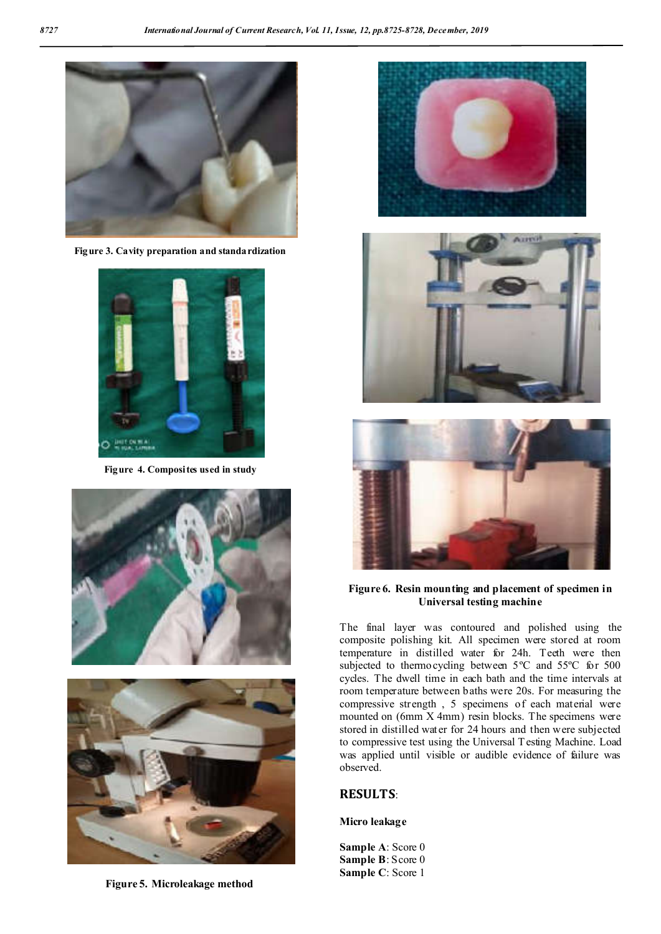

**Figure 3. Cavity preparation and standardization**



**Figure 4. Composites used in study**





**Figure 5. Microleakage method**







## **Figure 6. Resin mounting and placement of specimen in Universal testing machine**

The final layer was contoured and polished using the composite polishing kit. All specimen were stored at room temperature in distilled water for 24h. Teeth were then subjected to thermocycling between 5ºC and 55ºC for 500 cycles. The dwell time in each bath and the time intervals at room temperature between baths were 20s. For measuring the compressive strength , 5 specimens of each material were mounted on (6mm X 4mm) resin blocks. The specimens were stored in distilled water for 24 hours and then were subjected to compressive test using the Universal T esting Machine. Load was applied until visible or audible evidence of failure was observed.

# **RESULTS**:

## **Micro leakage**

**Sample A**: Score 0 **Sample B**: Score 0 **Sample C**: Score 1